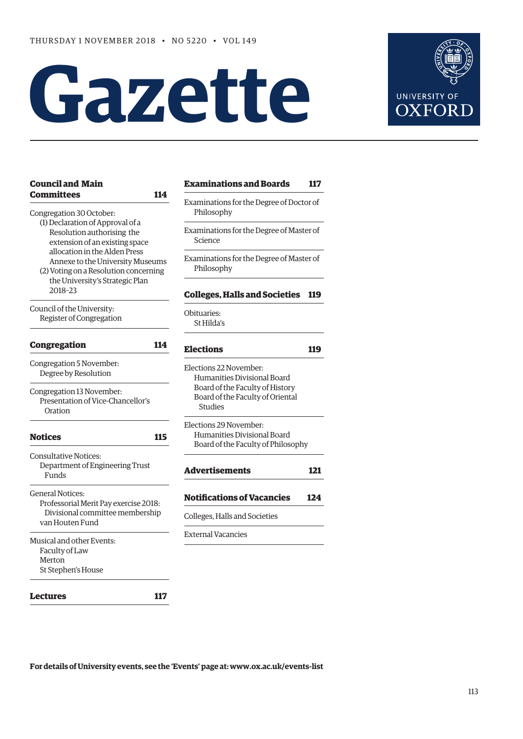# **Gazette**



| <b>Examinations and Boards</b><br>117                                                                                                          |  |  |                                                                                             |
|------------------------------------------------------------------------------------------------------------------------------------------------|--|--|---------------------------------------------------------------------------------------------|
| Examinations for the Degree of Doctor of<br>Philosophy<br>Examinations for the Degree of Master of<br>Science                                  |  |  |                                                                                             |
|                                                                                                                                                |  |  |                                                                                             |
| <b>Colleges, Halls and Societies</b><br><b>119</b>                                                                                             |  |  |                                                                                             |
| Obituaries:<br>St Hilda's                                                                                                                      |  |  |                                                                                             |
| <b>Elections</b><br>119                                                                                                                        |  |  |                                                                                             |
| Elections 22 November:<br>Humanities Divisional Board<br>Board of the Faculty of History<br>Board of the Faculty of Oriental<br><b>Studies</b> |  |  |                                                                                             |
|                                                                                                                                                |  |  | Elections 29 November:<br>Humanities Divisional Board<br>Board of the Faculty of Philosophy |
| <b>Advertisements</b><br>121                                                                                                                   |  |  |                                                                                             |
| <b>Notifications of Vacancies</b><br>124                                                                                                       |  |  |                                                                                             |
| Colleges, Halls and Societies                                                                                                                  |  |  |                                                                                             |
| <b>External Vacancies</b>                                                                                                                      |  |  |                                                                                             |
|                                                                                                                                                |  |  |                                                                                             |

**[Lectures 117](#page-4-0)**

**For details of University events, see the 'Events' page at: [www.ox.ac.uk/events-list](http://www.ox.ac.uk/events-list)**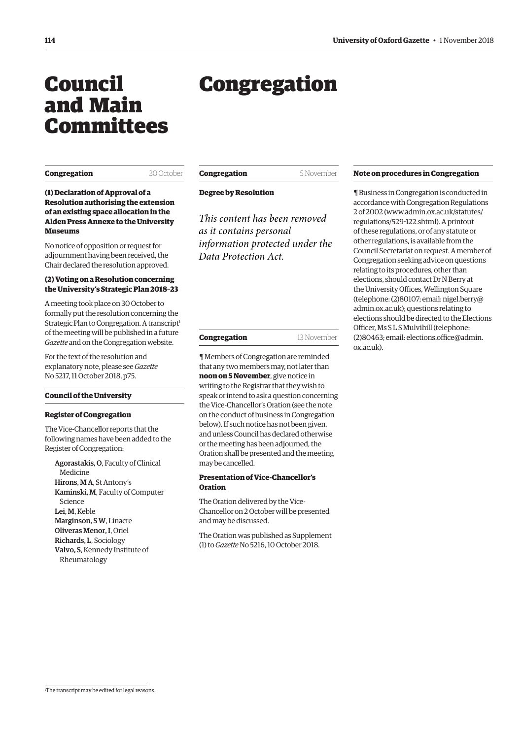## <span id="page-1-0"></span>Council and Main Committees

## Congregation

#### **Congregation** 30 October

**Congregation** 5 November

**Degree by Resolution**

#### **(1) Declaration of Approval of a Resolution authorising the extension of an existing space allocation in the Alden Press Annexe to the University Museums**

No notice of opposition or request for adjournment having been received, the Chair declared the resolution approved.

#### **(2) Voting on a Resolution concerning the University's Strategic Plan 2018–23**

A meeting took place on 30 October to formally put the resolution concerning the Strategic Plan to Congregation. A transcript $1$ of the meeting will be published in a future *Gazette* and on the Congregation website.

For the text of the resolution and explanatory note, please see *Gazette* [No 5217, 11 October 2018, p75.](https://gazette.web.ox.ac.uk/sites/default/files/gazette/documents/media/11_october_2018_-_no_5217_redacted.pdf#page=3)

#### **Council of the University**

#### **Register of Congregation**

The Vice-Chancellor reports that the following names have been added to the Register of Congregation:

Agorastakis, O, Faculty of Clinical Medicine Hirons, M A, St Antony's Kaminski, M, Faculty of Computer Science Lei, M, Keble Marginson, S W, Linacre Oliveras Menor, I, Oriel Richards, L, Sociology Valvo, S, Kennedy Institute of Rheumatology

*This content has been removed as it contains personal information protected under the Data Protection Act.*

| 13 November |
|-------------|
|             |

¶ Members of Congregation are reminded that any two members may, not later than **noon on 5 November**, give notice in writing to the Registrar that they wish to speak or intend to ask a question concerning the Vice-Chancellor's Oration (see the note on the conduct of business in Congregation below). If such notice has not been given, and unless Council has declared otherwise or the meeting has been adjourned, the Oration shall be presented and the meeting may be cancelled.

#### **Presentation of Vice-Chancellor's Oration**

The Oration delivered by the Vice-Chancellor on 2 October will be presented and may be discussed.

[The Oration was published as Supplement](https://gazette.web.ox.ac.uk/files/vice-chancellorsoration2018-1tono5216pdf)  (1) to *Gazette* No 5216, 10 October 2018.

#### **Note on procedures in Congregation**

¶ Business in Congregation is conducted in accordance with Congregation Regulations 2 of 2002 [\(www.admin.ox.ac.uk/statutes/](http://www.admin.ox.ac.uk/statutes/regulations/529-122.shtml) [regulations/529-122.shtml\). A p](http://www.admin.ox.ac.uk/statutes/regulations/529-122.shtml)rintout of these regulations, or of any statute or other regulations, is available from the Council Secretariat on request. A member of Congregation seeking advice on questions relating to its procedures, other than elections, should contact Dr N Berry at the University Offices, Wellington Square [\(telephone: \(2\)80107; email: nigel.berry@](mailto:nigel.berry@admin.ox.ac.uk) admin.ox.ac.uk); questions relating to elections should be directed to the Elections Officer, Ms S L S Mulvihill (telephone: [\(2\)80463; email: elections.office@admin.](mailto:elections.office@admin.ox.ac.uk) ox.ac.uk).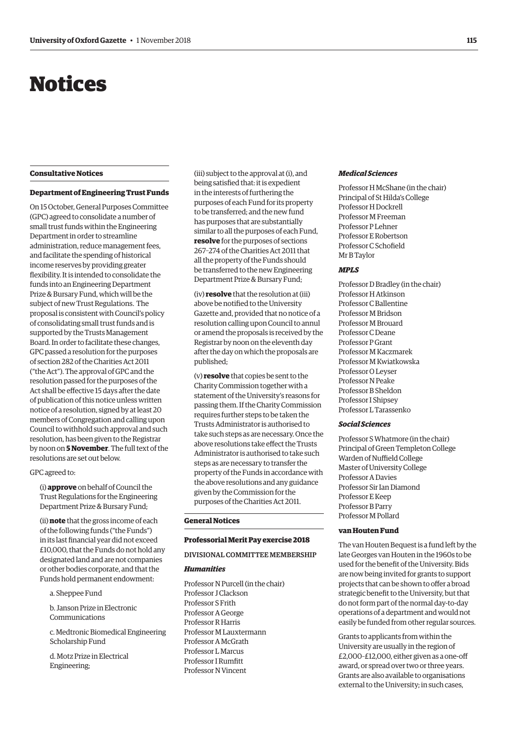## <span id="page-2-0"></span>Notices

#### **Consultative Notices**

#### **Department of Engineering Trust Funds**

On 15 October, General Purposes Committee (GPC) agreed to consolidate a number of small trust funds within the Engineering Department in order to streamline administration, reduce management fees, and facilitate the spending of historical income reserves by providing greater flexibility. It is intended to consolidate the funds into an Engineering Department Prize & Bursary Fund, which will be the subject of new Trust Regulations. The proposal is consistent with Council's policy of consolidating small trust funds and is supported by the Trusts Management Board. In order to facilitate these changes, GPC passed a resolution for the purposes of section 282 of the Charities Act 2011 ("the Act"). The approval of GPC and the resolution passed for the purposes of the Act shall be effective 15 days after the date of publication of this notice unless written notice of a resolution, signed by at least 20 members of Congregation and calling upon Council to withhold such approval and such resolution, has been given to the Registrar by noon on **5 November**. The full text of the resolutions are set out below.

#### GPC agreed to:

(i) **approve** on behalf of Council the Trust Regulations for the Engineering Department Prize & Bursary Fund;

(ii) **note** that the gross income of each of the following funds ("the Funds") in its last financial year did not exceed £10,000, that the Funds do not hold any designated land and are not companies or other bodies corporate, and that the Funds hold permanent endowment:

a. Sheppee Fund

b. Janson Prize in Electronic Communications

c. Medtronic Biomedical Engineering Scholarship Fund

d. Motz Prize in Electrical Engineering;

(iii) subject to the approval at (i), and being satisfied that: it is expedient in the interests of furthering the purposes of each Fund for its property to be transferred; and the new fund has purposes that are substantially similar to all the purposes of each Fund, **resolve** for the purposes of sections 267–274 of the Charities Act 2011 that all the property of the Funds should be transferred to the new Engineering Department Prize & Bursary Fund;

(iv) **resolve** that the resolution at (iii) above be notified to the University Gazette and, provided that no notice of a resolution calling upon Council to annul or amend the proposals is received by the Registrar by noon on the eleventh day after the day on which the proposals are published;

(v) **resolve** that copies be sent to the Charity Commission together with a statement of the University's reasons for passing them. If the Charity Commission requires further steps to be taken the Trusts Administrator is authorised to take such steps as are necessary. Once the above resolutions take effect the Trusts Administrator is authorised to take such steps as are necessary to transfer the property of the Funds in accordance with the above resolutions and any guidance given by the Commission for the purposes of the Charities Act 2011.

#### **General Notices**

#### **Professorial Merit Pay exercise 2018**

#### DIVISIONAL COMMITTEE MEMBERSHIP

#### *Humanities*

Professor N Purcell (in the chair) Professor J Clackson Professor S Frith Professor A George Professor R Harris Professor M Lauxtermann Professor A McGrath Professor L Marcus Professor I Rumfitt Professor N Vincent

#### *Medical Sciences*

Professor H McShane (in the chair) Principal of St Hilda's College Professor H Dockrell Professor M Freeman Professor P Lehner Professor E Robertson Professor C Schofield Mr B Taylor

#### *MPLS*

Professor D Bradley (in the chair) Professor H Atkinson Professor C Ballentine Professor M Bridson Professor M Brouard Professor C Deane Professor P Grant Professor M Kaczmarek Professor M Kwiatkowska Professor O Leyser Professor N Peake Professor B Sheldon Professor I Shipsey Professor L Tarassenko

#### *Social Sciences*

Professor S Whatmore (in the chair) Principal of Green Templeton College Warden of Nuffield College Master of University College Professor A Davies Professor Sir Ian Diamond Professor E Keep Professor B Parry Professor M Pollard

#### **van Houten Fund**

The van Houten Bequest is a fund left by the late Georges van Houten in the 1960s to be used for the benefit of the University. Bids are now being invited for grants to support projects that can be shown to offer a broad strategic benefit to the University, but that do not form part of the normal day-to-day operations of a department and would not easily be funded from other regular sources.

Grants to applicants from within the University are usually in the region of £2,000–£12,000, either given as a one-off award, or spread over two or three years. Grants are also available to organisations external to the University; in such cases,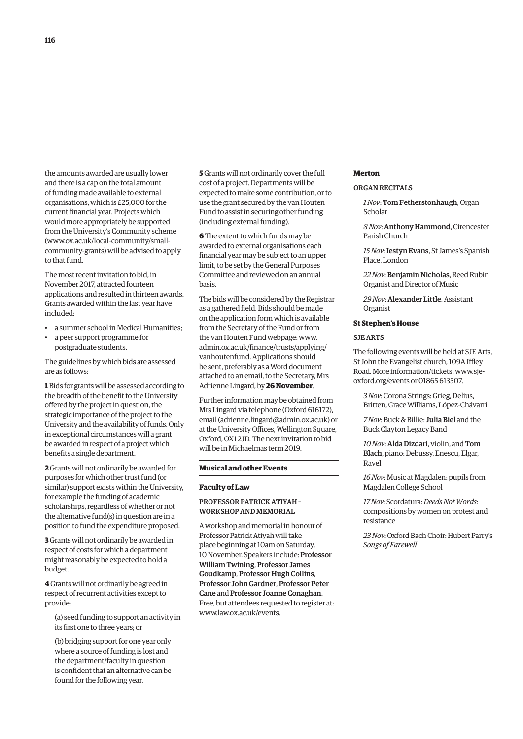the amounts awarded are usually lower and there is a cap on the total amount of funding made available to external organisations, which is £25,000 for the current financial year. Projects which would more appropriately be supported from the University's Community scheme (www.ox.ac.uk/local-community/small[community-grants\) will be advised to apply](www.ox.ac.uk/local-community/small-community-grants)  to that fund.

The most recent invitation to bid, in November 2017, attracted fourteen applications and resulted in thirteen awards. Grants awarded within the last year have included:

- a summer school in Medical Humanities;
- a peer support programme for postgraduate students.

The guidelines by which bids are assessed are as follows:

**1** Bids for grants will be assessed according to the breadth of the benefit to the University offered by the project in question, the strategic importance of the project to the University and the availability of funds. Only in exceptional circumstances will a grant be awarded in respect of a project which benefits a single department.

**2** Grants will not ordinarily be awarded for purposes for which other trust fund (or similar) support exists within the University, for example the funding of academic scholarships, regardless of whether or not the alternative fund(s) in question are in a position to fund the expenditure proposed.

**3** Grants will not ordinarily be awarded in respect of costs for which a department might reasonably be expected to hold a budget.

**4** Grants will not ordinarily be agreed in respect of recurrent activities except to provide:

(a) seed funding to support an activity in its first one to three years; or

(b) bridging support for one year only where a source of funding is lost and the department/faculty in question is confident that an alternative can be found for the following year.

**5** Grants will not ordinarily cover the full cost of a project. Departments will be expected to make some contribution, or to use the grant secured by the van Houten Fund to assist in securing other funding (including external funding).

**6** The extent to which funds may be awarded to external organisations each financial year may be subject to an upper limit, to be set by the General Purposes Committee and reviewed on an annual basis.

The bids will be considered by the Registrar as a gathered field. Bids should be made on the application form which is available from the Secretary of the Fund or from the van Houten Fund webpage: www. [admin.ox.ac.uk/finance/trusts/applying/](www.admin.ox.ac.uk/finance/trusts/applying/vanhoutenfund) vanhoutenfund. Applications should be sent, preferably as a Word document attached to an email, to the Secretary, Mrs Adrienne Lingard, by **26 November**.

Further information may be obtained from Mrs Lingard via telephone (Oxford 616172), email ([adrienne.lingard@admin.ox.ac.uk\) or](mailto:adrienne.lingard@admin.ox.ac.uk) at the University Offices, Wellington Square, Oxford, OX1 2JD. The next invitation to bid will be in Michaelmas term 2019.

#### **Musical and other Events**

#### **Faculty of Law**

#### PROFESSOR PATRICK ATIYAH – WORKSHOP AND MEMORIAL

A workshop and memorial in honour of Professor Patrick Atiyah will take place beginning at 10am on Saturday, 10 November. Speakers include: Professor William Twining, Professor James Goudkamp, Professor Hugh Collins, Professor John Gardner, Professor Peter Cane and Professor Joanne Conaghan. Free, but attendees requested to register at: [www.law.ox.ac.uk/events.](http://www.law.ox.ac.uk/events) 

#### **Merton**

#### ORGAN RECITALS

*1 Nov*: Tom Fetherstonhaugh, Organ Scholar

*8 Nov*: Anthony Hammond, Cirencester Parish Church

*15 Nov*: Iestyn Evans, St James's Spanish Place, London

*22 Nov*: Benjamin Nicholas, Reed Rubin Organist and Director of Music

*29 Nov*: Alexander Little, Assistant **Organist** 

#### **St Stephen's House**

#### SJE ARTS

The following events will be held at SJE Arts, St John the Evangelist church, 109A Iffley [Road. More information/tickets: www.sje](www.sje-oxford.org/events)oxford.org/events or 01865 613507.

*3 Nov*: Corona Strings: Grieg, Delius, Britten, Grace Williams, López-Chávarri

*7 Nov*: Buck & Billie: Julia Biel and the Buck Clayton Legacy Band

*10 Nov*: Alda Dizdari, violin, and Tom Blach, piano: Debussy, Enescu, Elgar, Ravel

*16 Nov*: Music at Magdalen: pupils from Magdalen College School

*17 Nov*: Scordatura: *Deeds Not Words*: compositions by women on protest and resistance

*23 Nov*: Oxford Bach Choir: Hubert Parry's *Songs of Farewell*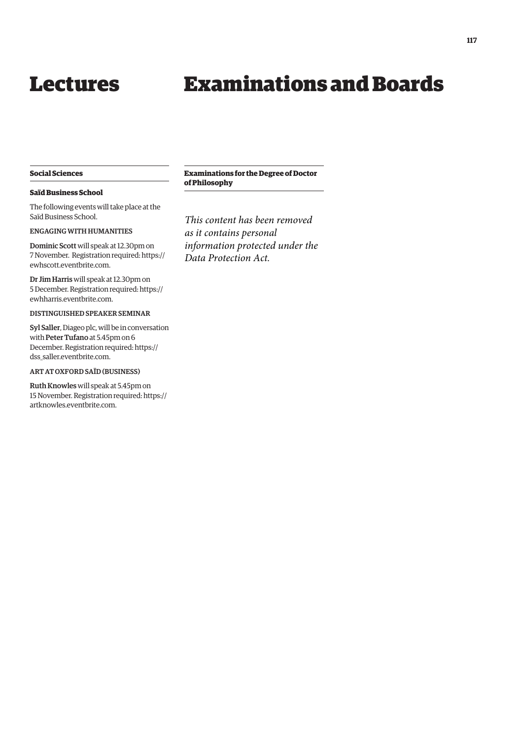## Examinations and Boards

#### <span id="page-4-0"></span>**Social Sciences**

#### **Saïd Business School**

The following events will take place at the Saïd Business School.

#### ENGAGING WITH HUMANITIES

Dominic Scott will speak at 12.30pm on 7 November. Registration required: [https://](https://ewhscott.eventbrite.com) [ewhscott.eventbrite.com.](https://ewhscott.eventbrite.com)

Dr Jim Harris will speak at 12.30pm on 5 December. Registration required: [https://](https://ewhharris.eventbrite.com) [ewhharris.eventbrite.com.](https://ewhharris.eventbrite.com)

#### DISTINGUISHED SPEAKER SEMINAR

Syl Saller, Diageo plc, will be in conversation with Peter Tufano at 5.45pm on 6 December. Registration required: [https://](https://dss_saller.eventbrite.com) [dss\\_saller.eventbrite.com.](https://dss_saller.eventbrite.com)

#### ART AT OXFORD SAÏD (BUSINESS)

Ruth Knowles will speak at 5.45pm on 15 November. Registration required: [https://](https://artknowles.eventbrite.com) [artknowles.eventbrite.com.](https://artknowles.eventbrite.com)

#### **Examinations for the Degree of Doctor of Philosophy**

*This content has been removed as it contains personal information protected under the Data Protection Act.*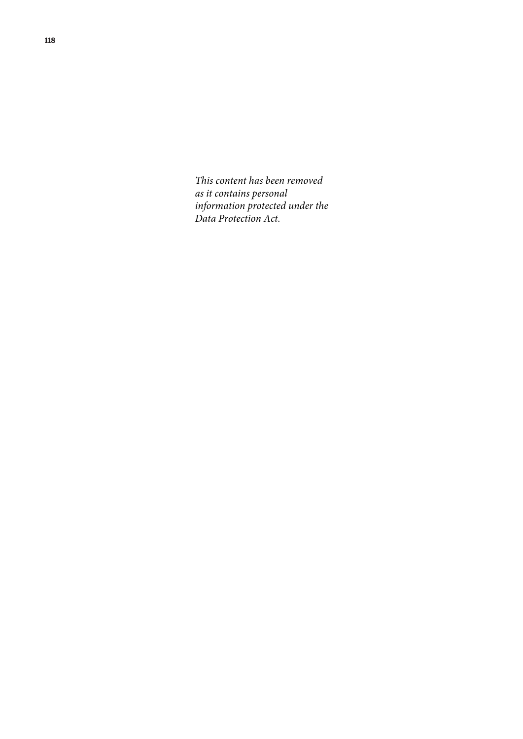*This content has been removed as it contains personal information protected under the Data Protection Act.*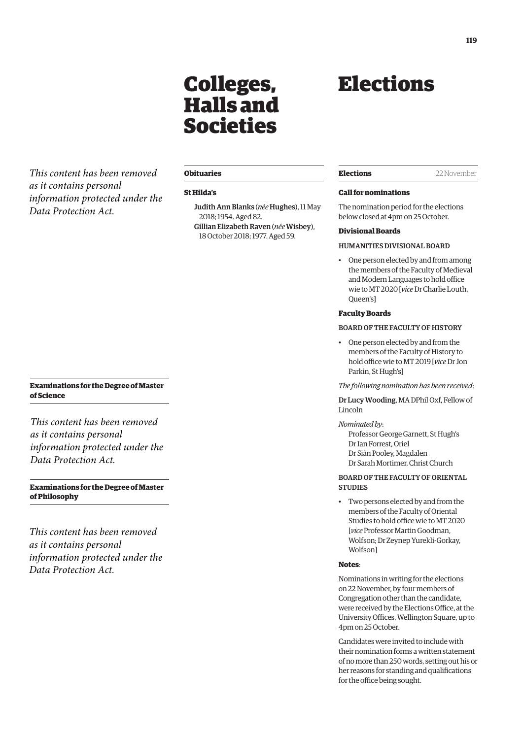## Colleges, Halls and Societies

<span id="page-6-0"></span>*This content has been removed as it contains personal information protected under the Data Protection Act.*

#### **Obituaries**

#### **St Hilda's**

Judith Ann Blanks (*née* Hughes), 11 May 2018; 1954. Aged 82. Gillian Elizabeth Raven (*née*Wisbey), 18 October 2018; 1977. Aged 59.

## Elections

**Elections** 22 November

#### **Call for nominations**

The nomination period for the elections below closed at 4pm on 25 October.

#### **Divisional Boards**

#### HUMANITIES DIVISIONAL BOARD

• One person elected by and from among the members of the Faculty of Medieval and Modern Languages to hold office wie to MT 2020 [*vice* Dr Charlie Louth, Queen's]

#### **Faculty Boards**

#### BOARD OF THE FACULTY OF HISTORY

• One person elected by and from the members of the Faculty of History to hold office wie to MT 2019 [*vice* Dr Jon Parkin, St Hugh's]

#### *The following nomination has been received*:

Dr Lucy Wooding, MA DPhil Oxf, Fellow of Lincoln

#### *Nominated by*:

Professor George Garnett, St Hugh's Dr Ian Forrest, Oriel Dr Siân Pooley, Magdalen Dr Sarah Mortimer, Christ Church

#### BOARD OF THE FACULTY OF ORIENTAL **STUDIES**

• Two persons elected by and from the members of the Faculty of Oriental Studies to hold office wie to MT 2020 [*vice* Professor Martin Goodman, Wolfson; Dr Zeynep Yurekli-Gorkay, Wolfson]

#### **Notes**:

Nominations in writing for the elections on 22 November, by four members of Congregation other than the candidate, were received by the Elections Office, at the University Offices, Wellington Square, up to 4pm on 25 October.

Candidates were invited to include with their nomination forms a written statement of no more than 250 words, setting out his or her reasons for standing and qualifications for the office being sought.

#### **Examinations for the Degree of Master of Science**

*This content has been removed as it contains personal information protected under the Data Protection Act.*

**Examinations for the Degree of Master of Philosophy**

*This content has been removed as it contains personal information protected under the Data Protection Act.*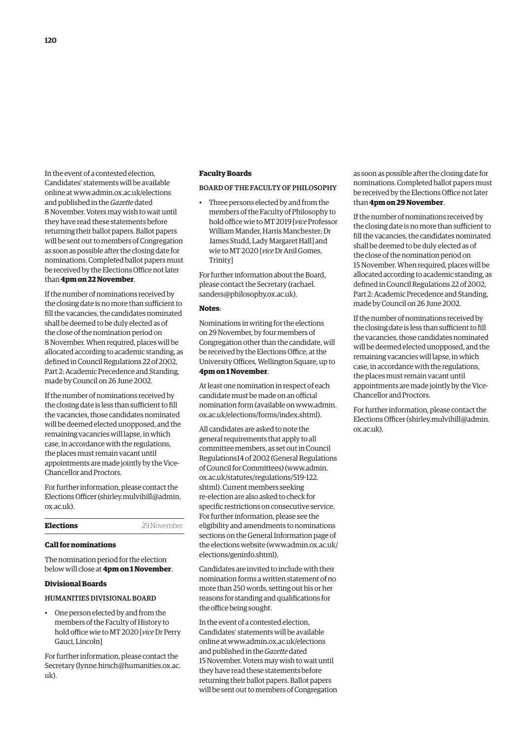In the event of a contested election, Candidates' statements will be available online at [www.admin.ox.ac.uk/elections](http://www.admin.ox.ac.uk/elections)  and published in the *Gazette* dated 8 November. Voters may wish to wait until they have read these statements before returning their ballot papers. Ballot papers will be sent out to members of Congregation as soon as possible after the closing date for nominations. Completed ballot papers must be received by the Elections Office not later than **4pm on 22 November**.

If the number of nominations received by the closing date is no more than sufficient to fill the vacancies, the candidates nominated shall be deemed to be duly elected as of the close of the nomination period on 8 November. When required, places will be allocated according to academic standing, as defined in Council Regulations 22 of 2002, Part 2: Academic Precedence and Standing, made by Council on 26 June 2002.

If the number of nominations received by the closing date is less than sufficient to fill the vacancies, those candidates nominated will be deemed elected unopposed, and the remaining vacancies will lapse, in which case, in accordance with the regulations, the places must remain vacant until appointments are made jointly by the Vice-Chancellor and Proctors.

For further information, please contact the Elections Officer [\(shirley.mulvihill@admin.](mailto:shirley.mulvihill@admin.ox.ac.uk) [ox.ac.uk\).](mailto:shirley.mulvihill@admin.ox.ac.uk) 

**Elections** 29 November

| <b>Elections</b> |  |  |
|------------------|--|--|
|                  |  |  |

#### **Call for nominations**

The nomination period for the election below will close at **4pm on 1 November**.

#### **Divisional Boards**

#### HUMANITIES DIVISIONAL BOARD

• One person elected by and from the members of the Faculty of History to hold office wie to MT 2020 [*vice* Dr Perry Gauci, Lincoln]

For further information, please contact the Secretary [\(lynne.hirsch@humanities.ox.ac.](mailto:lynne.hirsch@humanities.ox.ac.uk) [uk\).](mailto:lynne.hirsch@humanities.ox.ac.uk)

#### **Faculty Boards**

#### BOARD OF THE FACULTY OF PHILOSOPHY

• Three persons elected by and from the members of the Faculty of Philosophy to hold office wie to MT 2019 [*vice* Professor William Mander, Harris Manchester; Dr James Studd, Lady Margaret Hall] and wie to MT 2020 [*vice* Dr Anil Gomes, Trinity]

For further information about the Board, [please contact the Secretary \(rachael.](mailto:rachael.sanders@philosophy.ox.ac.uk) sanders@philosophy.ox.ac.uk).

#### **Notes**:

Nominations in writing for the elections on 29 November, by four members of Congregation other than the candidate, will be received by the Elections Office, at the University Offices, Wellington Square, up to **4pm on 1 November**.

At least one nomination in respect of each candidate must be made on an official [nomination form \(available on www.admin.](www.admin.ox.ac.uk/elections/forms/index.shtml) ox.ac.uk/elections/forms/index.shtml).

All candidates are asked to note the general requirements that apply to all committee members, as set out in Council Regulations14 of 2002 (General Regulations of Council for Committees) [\(www.admin.](http://www.admin.ox.ac.uk/statutes/regulations/519-122.shtml) [ox.ac.uk/statutes/regulations/519-122.](http://www.admin.ox.ac.uk/statutes/regulations/519-122.shtml) [shtml\). Cu](http://www.admin.ox.ac.uk/statutes/regulations/519-122.shtml)rrent members seeking re-election are also asked to check for specific restrictions on consecutive service. For further information, please see the eligibility and amendments to nominations sections on the General Information page of the elections website [\(www.admin.ox.ac.uk/](http://www.admin.ox.ac.uk/elections/geninfo.shtml) [elections/geninfo.shtml\).](http://www.admin.ox.ac.uk/elections/geninfo.shtml) 

Candidates are invited to include with their nomination forms a written statement of no more than 250 words, setting out his or her reasons for standing and qualifications for the office being sought.

In the event of a contested election, Candidates' statements will be available online at [www.admin.ox.ac.uk/elections](http://www.admin.ox.ac.uk/elections)  and published in the *Gazette* dated 15 November. Voters may wish to wait until they have read these statements before returning their ballot papers. Ballot papers will be sent out to members of Congregation as soon as possible after the closing date for nominations. Completed ballot papers must be received by the Elections Office not later than **4pm on 29 November**.

If the number of nominations received by the closing date is no more than sufficient to fill the vacancies, the candidates nominated shall be deemed to be duly elected as of the close of the nomination period on 15 November. When required, places will be allocated according to academic standing, as defined in Council Regulations 22 of 2002, Part 2: Academic Precedence and Standing, made by Council on 26 June 2002.

If the number of nominations received by the closing date is less than sufficient to fill the vacancies, those candidates nominated will be deemed elected unopposed, and the remaining vacancies will lapse, in which case, in accordance with the regulations, the places must remain vacant until appointments are made jointly by the Vice-Chancellor and Proctors.

For further information, please contact the Elections Officer [\(shirley.mulvihill@admin.](mailto:shirley.mulvihill@admin.ox.ac.uk) [ox.ac.uk\).](mailto:shirley.mulvihill@admin.ox.ac.uk)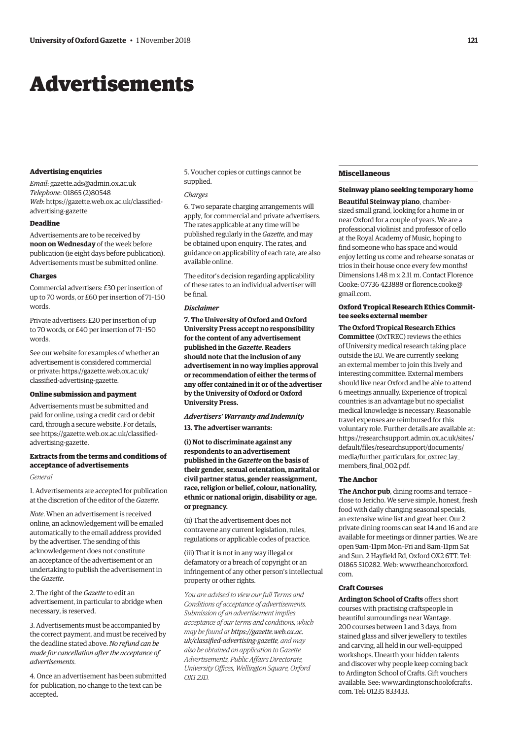## <span id="page-8-0"></span>Advertisements

#### **Advertising enquiries**

*Email*: [gazette.ads@admin.ox.ac.uk](mailto:gazette.ads@admin.ox.ac.uk) *Telephone*: 01865 (2)80548 *Web*[: https://gazette.web.ox.ac.uk/classified](https://gazette.web.ox.ac.uk/classified-advertising-gazette)advertising-gazette

#### **Deadline**

Advertisements are to be received by **noon on Wednesday** of the week before publication (ie eight days before publication). Advertisements must be submitted online.

#### **Charges**

Commercial advertisers: £30 per insertion of up to 70 words, or £60 per insertion of 71–150 words.

Private advertisers: £20 per insertion of up to 70 words, or £40 per insertion of 71–150 words.

See our website for examples of whether an advertisement is considered commercial [or private: https://gazette.web.ox.ac.uk/](https://gazette.web.ox.ac.uk/classified-advertising-gazette) classified-advertising-gazette.

#### **Online submission and payment**

Advertisements must be submitted and paid for online, using a credit card or debit card, through a secure website. For details, [see https://gazette.web.ox.ac.uk/classified](https://gazette.web.ox.ac.uk/classified-advertising-gazette)advertising-gazette.

#### **Extracts from the terms and conditions of acceptance of advertisements**

#### *General*

1. Advertisements are accepted for publication at the discretion of the editor of the *Gazette*.

*Note*. When an advertisement is received online, an acknowledgement will be emailed automatically to the email address provided by the advertiser. The sending of this acknowledgement does not constitute an acceptance of the advertisement or an undertaking to publish the advertisement in the *Gazette*.

2. The right of the *Gazette* to edit an advertisement, in particular to abridge when necessary, is reserved.

3. Advertisements must be accompanied by the correct payment, and must be received by the deadline stated above. *No refund can be made for cancellation after the acceptance of advertisements*.

4. Once an advertisement has been submitted for publication, no change to the text can be accepted.

5. Voucher copies or cuttings cannot be supplied.

#### *Charges*

6. Two separate charging arrangements will apply, for commercial and private advertisers. The rates applicable at any time will be published regularly in the *Gazette*, and may be obtained upon enquiry. The rates, and guidance on applicability of each rate, are also available online.

The editor's decision regarding applicability of these rates to an individual advertiser will be final.

#### *Disclaimer*

**7. The University of Oxford and Oxford University Press accept no responsibility for the content of any advertisement published in the** *Gazette***. Readers should note that the inclusion of any advertisement in no way implies approval or recommendation of either the terms of any offer contained in it or of the advertiser by the University of Oxford or Oxford University Press.**

#### *Advertisers' Warranty and Indemnity*

#### **13. The advertiser warrants:**

**(i) Not to discriminate against any respondents to an advertisement published in the** *Gazette* **on the basis of their gender, sexual orientation, marital or civil partner status, gender reassignment, race, religion or belief, colour, nationality, ethnic or national origin, disability or age, or pregnancy.**

(ii) That the advertisement does not contravene any current legislation, rules, regulations or applicable codes of practice.

(iii) That it is not in any way illegal or defamatory or a breach of copyright or an infringement of any other person's intellectual property or other rights.

*You are advised to view our full Terms and Conditions of acceptance of advertisements. Submission of an advertisement implies acceptance of our terms and conditions, which may be found at https://gazette.web.ox.ac. [uk/classified-advertising-gazette](https://gazette.web.ox.ac.uk/classified-advertising-gazette), and may also be obtained on application to Gazette Advertisements, Public Affairs Directorate, University Offices, Wellington Square, Oxford OX1 2JD.*

#### **Miscellaneous**

**Steinway piano seeking temporary home**

**Beautiful Steinway piano**, chambersized small grand, looking for a home in or near Oxford for a couple of years. We are a professional violinist and professor of cello at the Royal Academy of Music, hoping to find someone who has space and would enjoy letting us come and rehearse sonatas or trios in their house once every few months! Dimensions 1.48 m x 2.11 m. Contact Florence [Cooke: 07736 423888 or florence.cooke@](mailto:florence.cooke@gmail.com) gmail.com.

#### **Oxford Tropical Research Ethics Committee seeks external member**

**The Oxford Tropical Research Ethics Committee** (OxTREC) reviews the ethics of University medical research taking place outside the EU. We are currently seeking an external member to join this lively and interesting committee. External members should live near Oxford and be able to attend 6 meetings annually. Experience of tropical countries is an advantage but no specialist medical knowledge is necessary. Reasonable travel expenses are reimbursed for this voluntary role. Further details are available at: [https://researchsupport.admin.ox.ac.uk/sites/](https://researchsupport.admin.ox.ac.uk/sites/default/files/researchsupport/documents/media/further_particulars_for_oxtrec_lay_members_final_002.pdf) default/files/researchsupport/documents/ media/further\_particulars\_for\_oxtrec\_lay\_ members\_final\_002.pdf.

#### **The Anchor**

**The Anchor pub**, dining rooms and terrace – close to Jericho. We serve simple, honest, fresh food with daily changing seasonal specials, an extensive wine list and great beer. Our 2 private dining rooms can seat 14 and 16 and are available for meetings or dinner parties. We are open 9am–11pm Mon–Fri and 8am–11pm Sat and Sun. 2 Hayfield Rd, Oxford OX2 6TT. Tel: [01865 510282. Web: www.theanchoroxford.](www.theanchoroxford.com) com.

#### **Craft Courses**

**Ardington School of Crafts** offers short courses with practising craftspeople in beautiful surroundings near Wantage. 200 courses between 1 and 3 days, from stained glass and silver jewellery to textiles and carving, all held in our well-equipped workshops. Unearth your hidden talents and discover why people keep coming back to Ardington School of Crafts. Gift vouchers [available. See: www.ardingtonschoolofcrafts.](www.ardingtonschoolofcrafts.com) com. Tel: 01235 833433.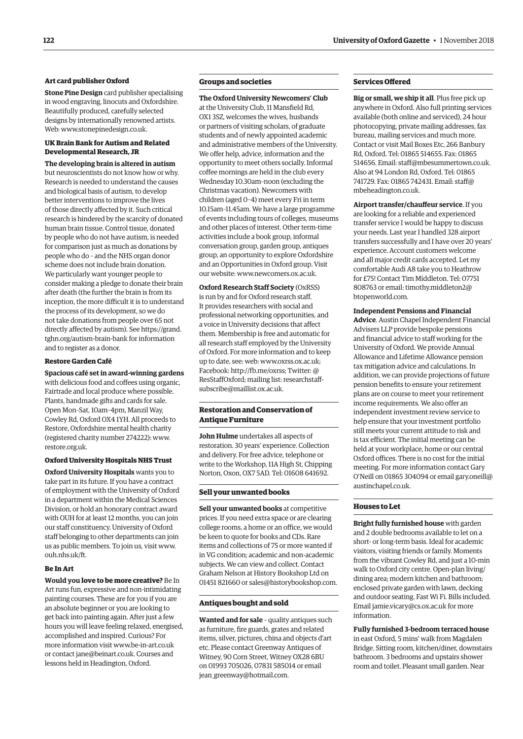#### **Art card publisher Oxford**

**Stone Pine Design** card publisher specialising in wood engraving, linocuts and Oxfordshire. Beautifully produced, carefully selected designs by internationally renowned artists. Web: [www.stonepinedesign.co.uk.](http://www.stonepinedesign.co.uk)

#### **UK Brain Bank for Autism and Related Developmental Research, JR**

**The developing brain is altered in autism** but neuroscientists do not know how or why. Research is needed to understand the causes and biological basis of autism, to develop better interventions to improve the lives of those directly affected by it. Such critical research is hindered by the scarcity of donated human brain tissue. Control tissue, donated by people who do not have autism, is needed for comparison just as much as donations by people who do – and the NHS organ donor scheme does not include brain donation. We particularly want younger people to consider making a pledge to donate their brain after death (the further the brain is from its inception, the more difficult it is to understand the process of its development, so we do not take donations from people over 65 not [directly affected by autism\). See https://grand.](https://grand.tghn.org/autism-brain-bank) tghn.org/autism-brain-bank for information and to register as a donor.

#### **Restore Garden Café**

**Spacious café set in award-winning gardens** with delicious food and coffees using organic, Fairtrade and local produce where possible. Plants, handmade gifts and cards for sale. Open Mon–Sat, 10am–4pm, Manzil Way, Cowley Rd, Oxford OX4 1YH. All proceeds to Restore, Oxfordshire mental health charity (registered charity number 274222): [www.](http://www.restore.org.uk) [restore.org.uk.](http://www.restore.org.uk)

**Oxford University Hospitals NHS Trust Oxford University Hospitals** wants you to take part in its future. If you have a contract of employment with the University of Oxford in a department within the Medical Sciences Division, or hold an honorary contract award with OUH for at least 12 months, you can join our staff constituency. University of Oxford staff belonging to other departments can join us as public members. To join us, visit [www.](http://www.ouh.nhs.uk/ft) [ouh.nhs.uk/ft.](http://www.ouh.nhs.uk/ft)

#### **Be In Art**

**Would you love to be more creative?** Be In Art runs fun, expressive and non-intimidating painting courses. These are for you if you are an absolute beginner or you are looking to get back into painting again. After just a few hours you will leave feeling relaxed, energised, accomplished and inspired. Curious? For more information visit [www.be-in-art.co.uk](http://www.be-in-art.co.uk)  or contact [jane@beinart.co.uk. Co](mailto:jane@beinart.co.uk)urses and lessons held in Headington, Oxford.

#### **Groups and societies**

**The Oxford University Newcomers' Club** at the University Club, 11 Mansfield Rd, OX1 3SZ, welcomes the wives, husbands or partners of visiting scholars, of graduate students and of newly appointed academic and administrative members of the University. We offer help, advice, information and the opportunity to meet others socially. Informal coffee mornings are held in the club every Wednesday 10.30am–noon (excluding the Christmas vacation). Newcomers with children (aged 0–4) meet every Fri in term 10.15am–11.45am. We have a large programme of events including tours of colleges, museums and other places of interest. Other term-time activities include a book group, informal conversation group, garden group, antiques group, an opportunity to explore Oxfordshire and an Opportunities in Oxford group. Visit our website: [www.newcomers.ox.ac.uk.](http://www.newcomers.ox.ac.uk) 

**Oxford Research Staff Society** (OxRSS) is run by and for Oxford research staff. It provides researchers with social and professional networking opportunities, and a voice in University decisions that affect them. Membership is free and automatic for all research staff employed by the University of Oxford. For more information and to keep up to date, see: web: [www.oxrss.ox.ac.uk;](http://www.oxrss.ox.ac.uk)  Facebook: [http://fb.me/oxrss; Tw](http://fb.me/oxrss)itter: @ [ResStaffOxford; mailing list: researchstaff](mailto:researchstaff-subscribe@maillist.ox.ac.uk)subscribe@maillist.ox.ac.uk.

#### **Restoration and Conservation of Antique Furniture**

**John Hulme** undertakes all aspects of restoration. 30 years' experience. Collection and delivery. For free advice, telephone or write to the Workshop, 11A High St, Chipping Norton, Oxon, OX7 5AD. Tel: 01608 641692.

#### **Sell your unwanted books**

**Sell your unwanted books** at competitive prices. If you need extra space or are clearing college rooms, a home or an office, we would be keen to quote for books and CDs. Rare items and collections of 75 or more wanted if in VG condition; academic and non-academic subjects. We can view and collect. Contact Graham Nelson at History Bookshop Ltd on 01451 821660 or [sales@historybookshop.com.](mailto:sales@historybookshop.com)

#### **Antiques bought and sold**

**Wanted and for sale** – quality antiques such as furniture, fire guards, grates and related items, silver, pictures, china and objects d'art etc. Please contact Greenway Antiques of Witney, 90 Corn Street, Witney OX28 6BU on 01993 705026, 07831 585014 or email [jean\\_greenway@hotmail.com.](mailto:jean_greenway@hotmail.com)

#### **Services Offered**

**Big or small, we ship it all**. Plus free pick up anywhere in Oxford. Also full printing services available (both online and serviced), 24 hour photocopying, private mailing addresses, fax bureau, mailing services and much more. Contact or visit Mail Boxes Etc, 266 Banbury Rd, Oxford. Tel: 01865 514655. Fax: 01865 514656. Email: [staff@mbesummertown.co.uk.](mailto:staff@mbesummertown.co.uk)  Also at 94 London Rd, Oxford. Tel: 01865 [741729. Fax: 01865 742431. Email: staff@](mailto:staff@mbeheadington.co.uk) mbeheadington.co.uk.

**Airport transfer/chauffeur service**. If you are looking for a reliable and experienced transfer service I would be happy to discuss your needs. Last year I handled 328 airport transfers successfully and I have over 20 years' experience. Account customers welcome and all major credit cards accepted. Let my comfortable Audi A8 take you to Heathrow for £75! Contact Tim Middleton. Tel: 07751 [808763 or email: timothy.middleton2@](mailto:timothy.middleton2@btopenworld.com) btopenworld.com.

#### **Independent Pensions and Financial**

**Advice**. Austin Chapel Independent Financial Advisers LLP provide bespoke pensions and financial advice to staff working for the University of Oxford. We provide Annual Allowance and Lifetime Allowance pension tax mitigation advice and calculations. In addition, we can provide projections of future pension benefits to ensure your retirement plans are on course to meet your retirement income requirements. We also offer an independent investment review service to help ensure that your investment portfolio still meets your current attitude to risk and is tax efficient. The initial meeting can be held at your workplace, home or our central Oxford offices. There is no cost for the initial meeting. For more information contact Gary [O'Neill on 01865 304094 or email gary.oneill@](mailto:gary.oneill@austinchapel.co.uk) austinchapel.co.uk.

#### **Houses to Let**

**Bright fully furnished house** with garden and 2 double bedrooms available to let on a short- or long-term basis. Ideal for academic visitors, visiting friends or family. Moments from the vibrant Cowley Rd, and just a 10-min walk to Oxford city centre. Open-plan living/ dining area; modern kitchen and bathroom; enclosed private garden with lawn, decking and outdoor seating. Fast Wi Fi. Bills included. Email [jamie.vicary@cs.ox.ac.uk fo](mailto:jamie.vicary@cs.ox.ac.uk)r more information.

**Fully furnished 3-bedroom terraced house** in east Oxford, 5 mins' walk from Magdalen Bridge. Sitting room, kitchen/diner, downstairs bathroom. 3 bedrooms and upstairs shower room and toilet. Pleasant small garden. Near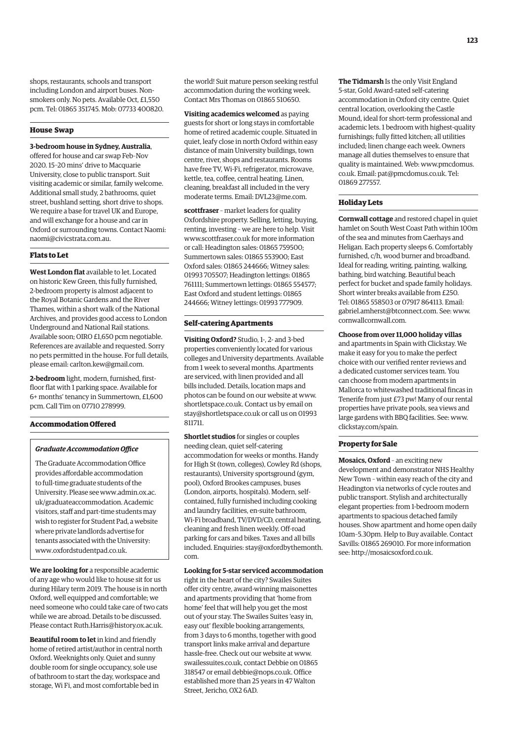shops, restaurants, schools and transport including London and airport buses. Nonsmokers only. No pets. Available Oct, £1,550 pcm. Tel: 01865 351745. Mob: 07733 400820.

#### **House Swap**

#### **3-bedroom house in Sydney, Australia**,

offered for house and car swap Feb–Nov 2020. 15–20 mins' drive to Macquarie University, close to public transport. Suit visiting academic or similar, family welcome. Additional small study, 2 bathrooms, quiet street, bushland setting, short drive to shops. We require a base for travel UK and Europe, and will exchange for a house and car in Oxford or surrounding towns. Contact Naomi: [naomi@civicstrata.com.au.](mailto:naomi@civicstrata.com.au)

#### **Flats to Let**

**West London flat** available to let. Located on historic Kew Green, this fully furnished, 2-bedroom property is almost adjacent to the Royal Botanic Gardens and the River Thames, within a short walk of the National Archives, and provides good access to London Underground and National Rail stations. Available soon; OIRO £1,650 pcm negotiable. References are available and requested. Sorry no pets permitted in the house. For full details, please email: [carlton.kew@gmail.com.](mailto:carlton.kew@gmail.com)

**2-bedroom** light, modern, furnished, firstfloor flat with 1 parking space. Available for 6+ months' tenancy in Summertown, £1,600 pcm. Call Tim on 07710 278999.

#### **Accommodation Offered**

#### *Graduate Accommodation Office*

The Graduate Accommodation Office provides affordable accommodation to full-time graduate students of the [University. Please see www.admin.ox.ac.](www.admin.ox.ac.uk/graduateaccommodation) uk/graduateaccommodation. Academic visitors, staff and part-time students may wish to register for Student Pad, a website where private landlords advertise for tenants associated with the University: [www.oxfordstudentpad.co.uk.](http://www.oxfordstudentpad.co.uk)

**We are looking for** a responsible academic of any age who would like to house sit for us during Hilary term 2019. The house is in north Oxford, well equipped and comfortable; we need someone who could take care of two cats while we are abroad. Details to be discussed. Please contact [Ruth.Harris@history.ox.ac.uk.](mailto:Ruth.Harris@history.ox.ac.uk)

**Beautiful room to let** in kind and friendly home of retired artist/author in central north Oxford. Weeknights only. Quiet and sunny double room for single occupancy, sole use of bathroom to start the day, workspace and storage, Wi Fi, and most comfortable bed in

the world! Suit mature person seeking restful accommodation during the working week. Contact Mrs Thomas on 01865 510650.

**Visiting academics welcomed** as paying guests for short or long stays in comfortable home of retired academic couple. Situated in quiet, leafy close in north Oxford within easy distance of main University buildings, town centre, river, shops and restaurants. Rooms have free TV, Wi-Fi, refrigerator, microwave, kettle, tea, coffee, central heating. Linen, cleaning, breakfast all included in the very moderate terms. Email: [DVL23@me.com.](mailto:DVL23@me.com)

**scottfraser** – market leaders for quality Oxfordshire property. Selling, letting, buying, renting, investing – we are here to help. Visit [www.scottfraser.co.uk fo](http://www.scottfraser.co.uk)r more information or call: Headington sales: 01865 759500; Summertown sales: 01865 553900; East Oxford sales: 01865 244666; Witney sales: 01993 705507; Headington lettings: 01865 761111; Summertown lettings: 01865 554577; East Oxford and student lettings: 01865 244666; Witney lettings: 01993 777909.

### **Self-catering Apartments**

**Visiting Oxford?** Studio, 1-, 2- and 3-bed properties conveniently located for various colleges and University departments. Available from 1 week to several months. Apartments are serviced, with linen provided and all bills included. Details, location maps and photos can be found on our website at [www.](http://www.shortletspace.co.uk) [shortletspace.co.uk. Co](http://www.shortletspace.co.uk)ntact us by email on [stay@shortletspace.co.uk or](mailto:stay@shortletspace.co.uk) call us on 01993 811711.

**Shortlet studios** for singles or couples needing clean, quiet self-catering accommodation for weeks or months. Handy for High St (town, colleges), Cowley Rd (shops, restaurants), University sportsground (gym, pool), Oxford Brookes campuses, buses (London, airports, hospitals). Modern, selfcontained, fully furnished including cooking and laundry facilities, en-suite bathroom, Wi-Fi broadband, TV/DVD/CD, central heating, cleaning and fresh linen weekly. Off-road parking for cars and bikes. Taxes and all bills [included. Enquiries: stay@oxfordbythemonth.](mailto:stay@oxfordbymonth.com) com.

**Looking for 5-star serviced accommodation**

right in the heart of the city? Swailes Suites offer city centre, award-winning maisonettes and apartments providing that 'home from home' feel that will help you get the most out of your stay. The Swailes Suites 'easy in, easy out' flexible booking arrangements, from 3 days to 6 months, together with good transport links make arrival and departure hassle-free. Check out our website at [www.](http://www.swailessuites.co.uk) [swailessuites.co.uk, co](http://www.swailessuites.co.uk)ntact Debbie on 01865 318547 or email [debbie@nops.co.uk. Of](mailto:debbie@nops.co.uk)fice established more than 25 years in 47 Walton Street, Jericho, OX2 6AD.

**The Tidmarsh** Is the only Visit England 5-star, Gold Award-rated self-catering accommodation in Oxford city centre. Quiet central location, overlooking the Castle Mound, ideal for short-term professional and academic lets. 1 bedroom with highest-quality furnishings; fully fitted kitchen; all utilities included; linen change each week. Owners manage all duties themselves to ensure that quality is maintain[ed. Web: www.pmcdomus.](www.dmcdomus.co.uk) co.uk. Email: [pat@pmcdomus.co.uk. Te](mailto:pat@pmcdomus.co.uk)l: 01869 277557.

#### **Holiday Lets**

**Cornwall cottage** and restored chapel in quiet hamlet on South West Coast Path within 100m of the sea and minutes from Caerhays and Heligan. Each property sleeps 6. Comfortably furnished, c/h, wood burner and broadband. Ideal for reading, writing, painting, walking, bathing, bird watching. Beautiful beach perfect for bucket and spade family holidays. Short winter breaks available from £250. Tel: 01865 558503 or 07917 864113. Email: [gabriel.amherst@btconnect.com. Se](mailto:gabriel.amherst@btconnect.com)e: [www.](http://www.cornwallcornwall.com) [cornwallcornwall.com.](http://www.cornwallcornwall.com)

#### **Choose from over 11,000 holiday villas**

and apartments in Spain with Clickstay. We make it easy for you to make the perfect choice with our verified renter reviews and a dedicated customer services team. You can choose from modern apartments in Mallorca to whitewashed traditional fincas in Tenerife from just £73 pw! Many of our rental properties have private pools, sea views and large gardens with BBQ facilities. See: [www.](http://www.clickstay.com/spain) [clickstay.com/spain.](http://www.clickstay.com/spain)

#### **Property for Sale**

**Mosaics, Oxford** – an exciting new development and demonstrator NHS Healthy New Town – within easy reach of the city and Headington via networks of cycle routes and public transport. Stylish and architecturally elegant properties: from 1-bedroom modern apartments to spacious detached family houses. Show apartment and home open daily 10am–5.30pm. Help to Buy available. Contact Savills: 01865 269010. For more information see: [http://mosaicsoxford.co.uk.](http://mosaicsoxford.co.uk)